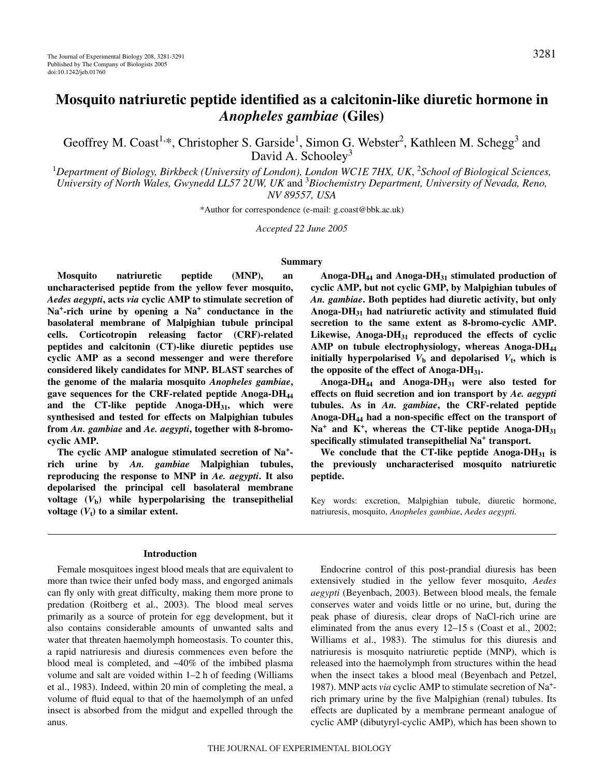# **Mosquito natriuretic peptide identified as a calcitonin-like diuretic hormone in** *Anopheles gambiae* **(Giles)**

Geoffrey M. Coast<sup>1,\*</sup>, Christopher S. Garside<sup>1</sup>, Simon G. Webster<sup>2</sup>, Kathleen M. Schegg<sup>3</sup> and David A. Schooley<sup>3</sup>

<sup>1</sup>Department of Biology, Birkbeck (University of London), London WC1E 7HX, UK, <sup>2</sup>School of Biological Sciences, *University of North Wales, Gwynedd LL57 2UW, UK* and 3 *Biochemistry Department, University of Nevada, Reno, NV 89557, USA*

\*Author for correspondence (e-mail: g.coast@bbk.ac.uk)

*Accepted 22 June 2005*

### **Summary**

**Mosquito natriuretic peptide (MNP), an uncharacterised peptide from the yellow fever mosquito,** *Aedes aegypti***, acts** *via* **cyclic AMP to stimulate secretion of Na***<sup>+</sup>***-rich urine by opening a Na<sup>+</sup> conductance in the basolateral membrane of Malpighian tubule principal cells. Corticotropin releasing factor (CRF)-related peptides and calcitonin (CT)-like diuretic peptides use cyclic AMP as a second messenger and were therefore considered likely candidates for MNP. BLAST searches of the genome of the malaria mosquito** *Anopheles gambiae***, gave sequences for the CRF-related peptide Anoga-DH44 and the CT-like peptide Anoga-DH31, which were synthesised and tested for effects on Malpighian tubules from** *An. gambiae* **and** *Ae. aegypti***, together with 8-bromocyclic AMP.**

**The cyclic AMP analogue stimulated secretion of Na+ rich urine by** *An. gambiae* **Malpighian tubules, reproducing the response to MNP in** *Ae. aegypti***. It also depolarised the principal cell basolateral membrane** voltage  $(V<sub>b</sub>)$  while hyperpolarising the transepithelial voltage  $(V_t)$  to a similar extent.

#### **Introduction**

Female mosquitoes ingest blood meals that are equivalent to more than twice their unfed body mass, and engorged animals can fly only with great difficulty, making them more prone to predation (Roitberg et al., 2003). The blood meal serves primarily as a source of protein for egg development, but it also contains considerable amounts of unwanted salts and water that threaten haemolymph homeostasis. To counter this, a rapid natriuresis and diuresis commences even before the blood meal is completed, and ~40% of the imbibed plasma volume and salt are voided within  $1-2$  h of feeding (Williams et al., 1983). Indeed, within 20 min of completing the meal, a volume of fluid equal to that of the haemolymph of an unfed insect is absorbed from the midgut and expelled through the anus.

**Anoga-DH44 and Anoga-DH31 stimulated production of cyclic AMP, but not cyclic GMP, by Malpighian tubules of** *An. gambiae***. Both peptides had diuretic activity, but only Anoga-DH31 had natriuretic activity and stimulated fluid secretion to the same extent as 8-bromo-cyclic AMP. Likewise, Anoga-DH31 reproduced the effects of cyclic** AMP on tubule electrophysiology, whereas Anoga-DH<sub>44</sub> **initially hyperpolarised**  $V<sub>b</sub>$  and depolarised  $V<sub>t</sub>$ , which is **the opposite of the effect of Anoga-DH31.**

**Anoga-DH44 and Anoga-DH31 were also tested for effects on fluid secretion and ion transport by** *Ae. aegypti* **tubules. As in** *An. gambiae***, the CRF-related peptide Anoga-DH44 had a non-specific effect on the transport of**  $Na<sup>+</sup>$  and  $K<sup>+</sup>$ , whereas the CT-like peptide Anoga-DH<sub>31</sub> **specifically stimulated transepithelial Na+ transport.**

**We conclude that the CT-like peptide Anoga-DH31 is the previously uncharacterised mosquito natriuretic peptide.**

Key words: excretion, Malpighian tubule, diuretic hormone, natriuresis, mosquito, *Anopheles gambiae*, *Aedes aegypti.*

Endocrine control of this post-prandial diuresis has been extensively studied in the yellow fever mosquito, *Aedes aegypti* (Beyenbach, 2003). Between blood meals, the female conserves water and voids little or no urine, but, during the peak phase of diuresis, clear drops of NaCl-rich urine are eliminated from the anus every  $12-15$  s (Coast et al., 2002; Williams et al., 1983). The stimulus for this diuresis and natriuresis is mosquito natriuretic peptide (MNP), which is released into the haemolymph from structures within the head when the insect takes a blood meal (Beyenbach and Petzel, 1987). MNP acts *via* cyclic AMP to stimulate secretion of Na+ rich primary urine by the five Malpighian (renal) tubules. Its effects are duplicated by a membrane permeant analogue of cyclic AMP (dibutyryl-cyclic AMP), which has been shown to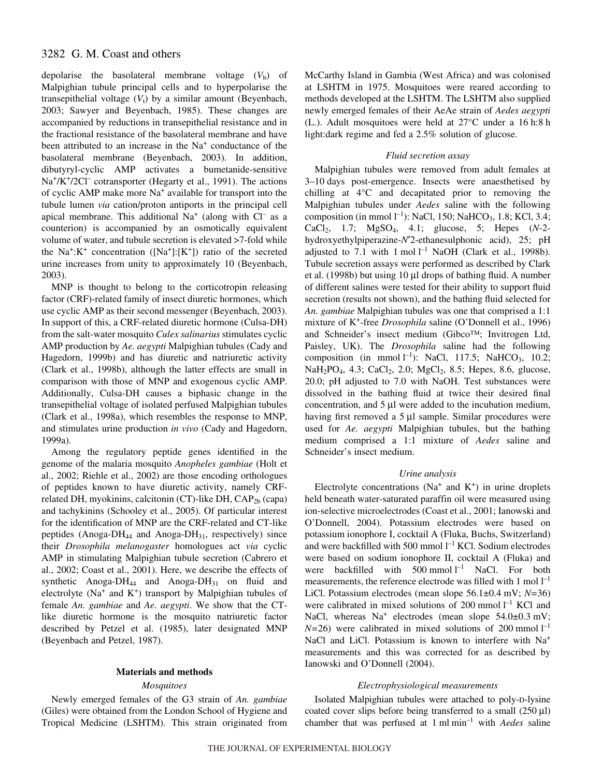depolarise the basolateral membrane voltage  $(V<sub>b</sub>)$  of Malpighian tubule principal cells and to hyperpolarise the transepithelial voltage  $(V_t)$  by a similar amount (Beyenbach, 2003; Sawyer and Beyenbach, 1985). These changes are accompanied by reductions in transepithelial resistance and in the fractional resistance of the basolateral membrane and have been attributed to an increase in the Na<sup>+</sup> conductance of the basolateral membrane (Beyenbach, 2003). In addition, dibutyryl-cyclic AMP activates a bumetanide-sensitive Na<sup>+</sup>/K<sup>+</sup>/2Cl<sup>–</sup> cotransporter (Hegarty et al., 1991). The actions of cyclic AMP make more Na<sup>+</sup> available for transport into the tubule lumen *via* cation/proton antiports in the principal cell apical membrane. This additional  $Na<sup>+</sup>$  (along with Cl<sup>-</sup> as a counterion) is accompanied by an osmotically equivalent volume of water, and tubule secretion is elevated >7-fold while the Na<sup>+</sup>:K<sup>+</sup> concentration ([Na<sup>+</sup>]:[K<sup>+</sup>]) ratio of the secreted urine increases from unity to approximately 10 (Beyenbach, 2003).

MNP is thought to belong to the corticotropin releasing factor (CRF)-related family of insect diuretic hormones, which use cyclic AMP as their second messenger (Beyenbach, 2003). In support of this, a CRF-related diuretic hormone (Culsa-DH) from the salt-water mosquito *Culex salinarius* stimulates cyclic AMP production by *Ae. aegypti* Malpighian tubules (Cady and Hagedorn, 1999b) and has diuretic and natriuretic activity (Clark et al., 1998b), although the latter effects are small in comparison with those of MNP and exogenous cyclic AMP. Additionally, Culsa-DH causes a biphasic change in the transepithelial voltage of isolated perfused Malpighian tubules (Clark et al., 1998a), which resembles the response to MNP, and stimulates urine production *in vivo* (Cady and Hagedorn, 1999a).

Among the regulatory peptide genes identified in the genome of the malaria mosquito *Anopheles gambiae* (Holt et al., 2002; Riehle et al., 2002) are those encoding orthologues of peptides known to have diuretic activity, namely CRFrelated DH, myokinins, calcitonin (CT)-like DH,  $CAP<sub>2b</sub>$  (capa) and tachykinins (Schooley et al., 2005). Of particular interest for the identification of MNP are the CRF-related and CT-like peptides (Anoga-DH<sub>44</sub> and Anoga-DH<sub>31</sub>, respectively) since their *Drosophila melanogaster* homologues act *via* cyclic AMP in stimulating Malpighian tubule secretion (Cabrero et al., 2002; Coast et al., 2001). Here, we describe the effects of synthetic Anoga-DH<sub>44</sub> and Anoga-DH<sub>31</sub> on fluid and electrolyte ( $Na^+$  and  $K^+$ ) transport by Malpighian tubules of female *An. gambiae* and *Ae. aegypti*. We show that the CTlike diuretic hormone is the mosquito natriuretic factor described by Petzel et al. (1985), later designated MNP (Beyenbach and Petzel, 1987).

# **Materials and methods**

# *Mosquitoes*

Newly emerged females of the G3 strain of *An. gambiae* (Giles) were obtained from the London School of Hygiene and Tropical Medicine (LSHTM). This strain originated from

McCarthy Island in Gambia (West Africa) and was colonised at LSHTM in 1975. Mosquitoes were reared according to methods developed at the LSHTM. The LSHTM also supplied newly emerged females of their AeAe strain of *Aedes aegypti* (L.). Adult mosquitoes were held at  $27^{\circ}$ C under a 16 h:8 h light:dark regime and fed a 2.5% solution of glucose.

# *Fluid secretion assay*

Malpighian tubules were removed from adult females at 3–10 days post-emergence. Insects were anaesthetised by chilling at 4°C and decapitated prior to removing the Malpighian tubules under *Aedes* saline with the following composition (in mmol  $l^{-1}$ ): NaCl, 150; NaHCO<sub>3</sub>, 1.8; KCl, 3.4; CaCl2, 1.7; MgSO4, 4.1; glucose, 5; Hepes (*N*-2 hydroxyethylpiperazine-*N*′2-ethanesulphonic acid), 25; pH adjusted to 7.1 with  $1 \text{ mol } l^{-1}$  NaOH (Clark et al., 1998b). Tubule secretion assays were performed as described by Clark et al. (1998b) but using 10 μl drops of bathing fluid. A number of different salines were tested for their ability to support fluid secretion (results not shown), and the bathing fluid selected for *An. gambiae* Malpighian tubules was one that comprised a 1:1 mixture of K+-free *Drosophila* saline (O'Donnell et al., 1996) and Schneider's insect medium (Gibco™; Invitrogen Ltd, Paisley, UK). The *Drosophila* saline had the following composition (in mmol  $l^{-1}$ ): NaCl, 117.5; NaHCO<sub>3</sub>, 10.2; NaH<sub>2</sub>PO<sub>4</sub>, 4.3; CaCl<sub>2</sub>, 2.0; MgCl<sub>2</sub>, 8.5; Hepes, 8.6, glucose, 20.0; pH adjusted to 7.0 with NaOH. Test substances were dissolved in the bathing fluid at twice their desired final concentration, and  $5 \mu l$  were added to the incubation medium, having first removed a 5 μl sample. Similar procedures were used for *Ae. aegypti* Malpighian tubules, but the bathing medium comprised a 1:1 mixture of *Aedes* saline and Schneider's insect medium.

# *Urine analysis*

Electrolyte concentrations ( $Na<sup>+</sup>$  and  $K<sup>+</sup>$ ) in urine droplets held beneath water-saturated paraffin oil were measured using ion-selective microelectrodes (Coast et al., 2001; Ianowski and O'Donnell, 2004). Potassium electrodes were based on potassium ionophore I, cocktail A (Fluka, Buchs, Switzerland) and were backfilled with 500 mmol  $l^{-1}$  KCl. Sodium electrodes were based on sodium ionophore II, cocktail A (Fluka) and were backfilled with  $500 \text{ mmol } l^{-1}$  NaCl. For both measurements, the reference electrode was filled with 1 mol  $l^{-1}$ LiCl. Potassium electrodes (mean slope 56.1±0.4 mV; *N*=36) were calibrated in mixed solutions of 200 mmol  $l^{-1}$  KCl and NaCl, whereas  $Na<sup>+</sup>$  electrodes (mean slope  $54.0\pm0.3$  mV;  $N=26$ ) were calibrated in mixed solutions of 200 mmol  $1^{-1}$ NaCl and LiCl. Potassium is known to interfere with Na<sup>+</sup> measurements and this was corrected for as described by Ianowski and O'Donnell (2004).

# *Electrophysiological measurements*

Isolated Malpighian tubules were attached to poly-D-lysine coated cover slips before being transferred to a small  $(250 \,\mu\text{I})$ chamber that was perfused at 1 ml min<sup>-1</sup> with *Aedes* saline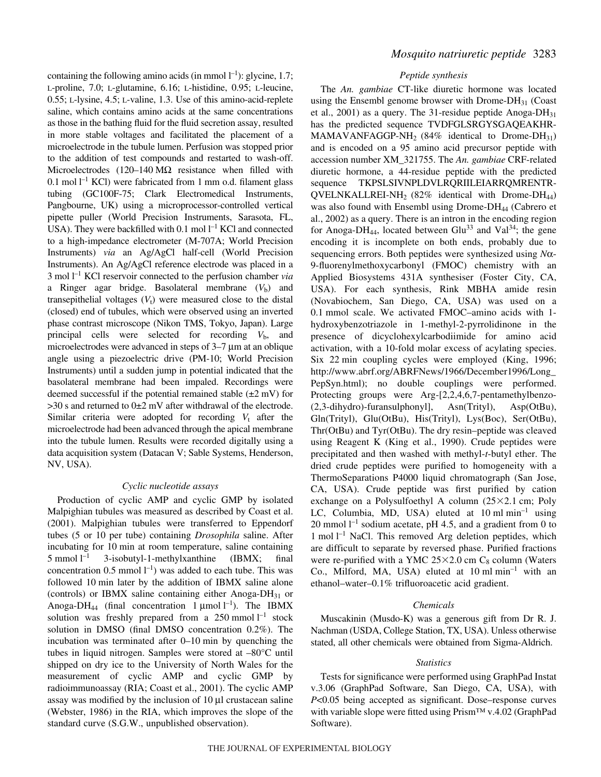containing the following amino acids (in mmol  $l^{-1}$ ): glycine, 1.7; L-proline, 7.0; L-glutamine, 6.16; L-histidine, 0.95; L-leucine, 0.55; L-lysine, 4.5; L-valine, 1.3. Use of this amino-acid-replete saline, which contains amino acids at the same concentrations as those in the bathing fluid for the fluid secretion assay, resulted in more stable voltages and facilitated the placement of a microelectrode in the tubule lumen. Perfusion was stopped prior to the addition of test compounds and restarted to wash-off. Microelectrodes (120–140 M $\Omega$  resistance when filled with  $0.1 \text{ mol } l^{-1}$  KCl) were fabricated from 1 mm o.d. filament glass tubing (GC100F-75; Clark Electromedical Instruments, Pangbourne, UK) using a microprocessor-controlled vertical pipette puller (World Precision Instruments, Sarasota, FL, USA). They were backfilled with 0.1 mol  $l^{-1}$  KCl and connected to a high-impedance electrometer (M-707A; World Precision Instruments) *via* an Ag/AgCl half-cell (World Precision Instruments). An Ag/AgCl reference electrode was placed in a 3 mol<sup>1-1</sup> KCl reservoir connected to the perfusion chamber *via* a Ringer agar bridge. Basolateral membrane  $(V<sub>b</sub>)$  and transepithelial voltages  $(V_t)$  were measured close to the distal (closed) end of tubules, which were observed using an inverted phase contrast microscope (Nikon TMS, Tokyo, Japan). Large principal cells were selected for recording  $V<sub>b</sub>$ , and microelectrodes were advanced in steps of  $3-7 \mu m$  at an oblique angle using a piezoelectric drive (PM-10; World Precision Instruments) until a sudden jump in potential indicated that the basolateral membrane had been impaled. Recordings were deemed successful if the potential remained stable  $(\pm 2~\mathrm{mV})$  for  $>$ 30 s and returned to 0 $\pm$ 2 mV after withdrawal of the electrode. Similar criteria were adopted for recording  $V_t$  after the microelectrode had been advanced through the apical membrane into the tubule lumen. Results were recorded digitally using a data acquisition system (Datacan V; Sable Systems, Henderson, NV, USA).

# *Cyclic nucleotide assays*

Production of cyclic AMP and cyclic GMP by isolated Malpighian tubules was measured as described by Coast et al. (2001). Malpighian tubules were transferred to Eppendorf tubes (5 or 10 per tube) containing *Drosophila* saline. After incubating for 10 min at room temperature, saline containing  $5 \text{ mmol } 1^{-1}$ –1 3-isobutyl-1-methylxanthine (IBMX; final concentration 0.5 mmol  $l^{-1}$ ) was added to each tube. This was followed 10 min later by the addition of IBMX saline alone (controls) or IBMX saline containing either Anoga-DH $_{31}$  or Anoga-DH<sub>44</sub> (final concentration 1  $\mu$ mol l<sup>-1</sup>). The IBMX solution was freshly prepared from a  $250$  mmol  $l^{-1}$  stock solution in DMSO (final DMSO concentration 0.2%). The incubation was terminated after  $0-10$  min by quenching the tubes in liquid nitrogen. Samples were stored at –80°C until shipped on dry ice to the University of North Wales for the measurement of cyclic AMP and cyclic GMP by radioimmunoassay (RIA; Coast et al., 2001). The cyclic AMP assay was modified by the inclusion of  $10 \mu l$  crustacean saline (Webster, 1986) in the RIA, which improves the slope of the standard curve (S.G.W., unpublished observation).

# *Mosquito natriuretic peptide* 3283

### *Peptide synthesis*

The *An. gambiae* CT-like diuretic hormone was located using the Ensembl genome browser with Drome- $DH_{31}$  (Coast et al., 2001) as a query. The 31-residue peptide Anoga-DH<sub>31</sub> has the predicted sequence TVDFGLSRGYSGAQEAKHR-MAMAVANFAGGP-NH<sub>2</sub> (84% identical to Drome-DH<sub>31</sub>) and is encoded on a 95 amino acid precursor peptide with accession number XM\_321755. The *An. gambiae* CRF-related diuretic hormone, a 44-residue peptide with the predicted sequence TKPSLSIVNPLDVLRQRIILEIARRQMRENTR-QVELNKALLREI-NH<sub>2</sub> (82% identical with Drome-DH<sub>44</sub>) was also found with Ensembl using Drome- $DH_{44}$  (Cabrero et al., 2002) as a query. There is an intron in the encoding region for Anoga-DH<sub>44</sub>, located between Glu<sup>33</sup> and Val<sup>34</sup>; the gene encoding it is incomplete on both ends, probably due to sequencing errors. Both peptides were synthesized using *N*α-9-fluorenylmethoxycarbonyl (FMOC) chemistry with an Applied Biosystems 431A synthesiser (Foster City, CA, USA). For each synthesis, Rink MBHA amide resin (Novabiochem, San Diego, CA, USA) was used on a 0.1 mmol scale. We activated FMOC-amino acids with 1hydroxybenzotriazole in 1-methyl-2-pyrrolidinone in the presence of dicyclohexylcarbodiimide for amino acid activation, with a 10-fold molar excess of acylating species. Six 22 min coupling cycles were employed (King, 1996; http://www.abrf.org/ABRFNews/1966/December1996/Long\_ PepSyn.html); no double couplings were performed. Protecting groups were Arg-[2,2,4,6,7-pentamethylbenzo- (2,3-dihydro)-furansulphonyl], Asn(Trityl), Asp(OtBu), Gln(Trityl), Glu(OtBu), His(Trityl), Lys(Boc), Ser(OtBu), Thr(OtBu) and Tyr(OtBu). The dry resin–peptide was cleaved using Reagent K (King et al., 1990). Crude peptides were precipitated and then washed with methyl-*t*-butyl ether. The dried crude peptides were purified to homogeneity with a ThermoSeparations P4000 liquid chromatograph (San Jose, CA, USA). Crude peptide was first purified by cation exchange on a Polysulfoethyl A column  $(25\times2.1 \text{ cm}; \text{Poly})$ LC, Columbia, MD, USA) eluted at  $10 \text{ ml min}^{-1}$  using 20 mmol  $l^{-1}$  sodium acetate, pH 4.5, and a gradient from 0 to 1 mol  $l^{-1}$  NaCl. This removed Arg deletion peptides, which are difficult to separate by reversed phase. Purified fractions were re-purified with a YMC  $25 \times 2.0$  cm  $C_8$  column (Waters Co., Milford, MA, USA) eluted at  $10 \text{ ml min}^{-1}$  with an ethanol–water–0.1% trifluoroacetic acid gradient.

#### *Chemicals*

Muscakinin (Musdo-K) was a generous gift from Dr R. J. Nachman (USDA, College Station, TX, USA). Unless otherwise stated, all other chemicals were obtained from Sigma-Aldrich.

#### *Statistics*

Tests for significance were performed using GraphPad Instat v.3.06 (GraphPad Software, San Diego, CA, USA), with *P*<0.05 being accepted as significant. Dose–response curves with variable slope were fitted using Prism™ v.4.02 (GraphPad Software).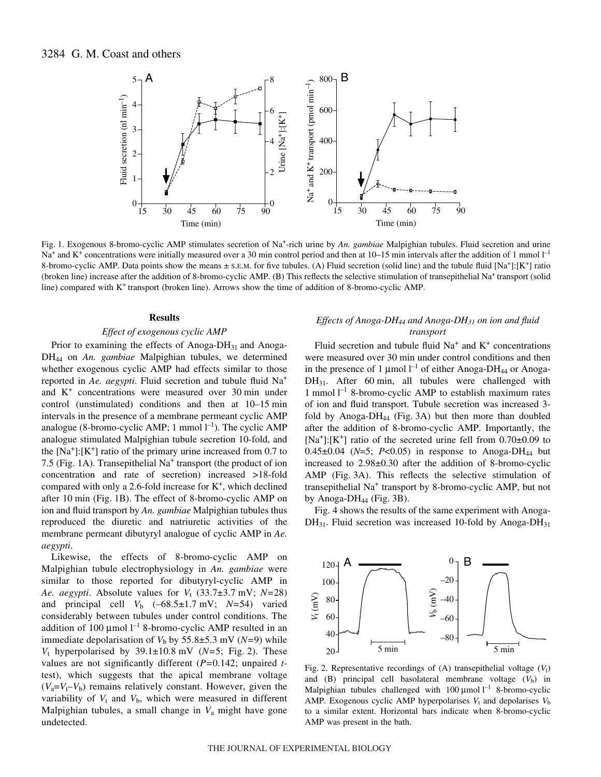

Fig. 1. Exogenous 8-bromo-cyclic AMP stimulates secretion of Na<sup>+</sup>-rich urine by *An. gambiae* Malpighian tubules. Fluid secretion and urine Na<sup>+</sup> and K<sup>+</sup> concentrations were initially measured over a 30 min control period and then at 10–15 min intervals after the addition of 1 mmol  $l^{-1}$ 8-bromo-cyclic AMP. Data points show the means  $\pm$  s.e.m. for five tubules. (A) Fluid secretion (solid line) and the tubule fluid [Na<sup>+</sup>]:[K<sup>+</sup>] ratio (broken line) increase after the addition of 8-bromo-cyclic AMP. (B) This reflects the selective stimulation of transepithelial Na+ transport (solid line) compared with K+ transport (broken line). Arrows show the time of addition of 8-bromo-cyclic AMP.

#### **Results**

### *Effect of exogenous cyclic AMP*

Prior to examining the effects of Anoga-DH<sub>31</sub> and Anoga-DH44 on *An. gambiae* Malpighian tubules, we determined whether exogenous cyclic AMP had effects similar to those reported in *Ae. aegypti*. Fluid secretion and tubule fluid Na<sup>+</sup> and  $K^+$  concentrations were measured over 30 min under control (unstimulated) conditions and then at  $10-15$  min intervals in the presence of a membrane permeant cyclic AMP analogue (8-bromo-cyclic AMP; 1 mmol  $l^{-1}$ ). The cyclic AMP analogue stimulated Malpighian tubule secretion 10-fold, and the  $[Na^+]$ :  $[K^+]$  ratio of the primary urine increased from 0.7 to 7.5 (Fig. 1A). Transepithelial  $Na<sup>+</sup>$  transport (the product of ion concentration and rate of secretion) increased >18-fold compared with only a 2.6-fold increase for  $K^+$ , which declined after 10 min (Fig. 1B). The effect of 8-bromo-cyclic AMP on ion and fluid transport by *An. gambiae* Malpighian tubules thus reproduced the diuretic and natriuretic activities of the membrane permeant dibutyryl analogue of cyclic AMP in *Ae. aegypti*.

Likewise, the effects of 8-bromo-cyclic AMP on Malpighian tubule electrophysiology in *An. gambiae* were similar to those reported for dibutyryl-cyclic AMP in *Ae. aegypti.* Absolute values for  $V_t$  (33.7 $\pm$ 3.7 mV; *N*=28) and principal cell  $V_b$  (–68.5±1.7 mV;  $N=54$ ) varied considerably between tubules under control conditions. The addition of 100  $\mu$ mol l<sup>-1</sup> 8-bromo-cyclic AMP resulted in an immediate depolarisation of  $V<sub>b</sub>$  by 55.8 $\pm$ 5.3 mV (*N*=9) while  $V_t$  hyperpolarised by 39.1 $\pm$ 10.8 mV (*N*=5; Fig. 2). These values are not significantly different (*P=*0.142; unpaired *t*test), which suggests that the apical membrane voltage  $(V_a=V_t-V_b)$  remains relatively constant. However, given the variability of  $V_t$  and  $V_b$ , which were measured in different Malpighian tubules, a small change in *V*<sup>a</sup> might have gone undetected.

# *Effects of Anoga-DH44 and Anoga-DH31 on ion and fluid transport*

Fluid secretion and tubule fluid  $Na<sup>+</sup>$  and  $K<sup>+</sup>$  concentrations were measured over 30 min under control conditions and then in the presence of 1 µmol  $l^{-1}$  of either Anoga-DH<sub>44</sub> or Anoga- $DH_{31}$ . After 60 min, all tubules were challenged with 1 mmol  $l^{-1}$  8-bromo-cyclic AMP to establish maximum rates of ion and fluid transport. Tubule secretion was increased 3 fold by Anoga-DH<sub>44</sub> (Fig. 3A) but then more than doubled after the addition of 8-bromo-cyclic AMP. Importantly, the  $[Na^+]$ :[K<sup>+</sup>] ratio of the secreted urine fell from  $0.70\pm0.09$  to 0.45 $\pm$ 0.04 (*N*=5; *P*<0.05) in response to Anoga-DH<sub>44</sub> but increased to 2.98±0.30 after the addition of 8-bromo-cyclic AMP (Fig. 3A). This reflects the selective stimulation of transepithelial Na+ transport by 8-bromo-cyclic AMP, but not by Anoga-D $H_{44}$  (Fig. 3B).

Fig. 4 shows the results of the same experiment with Anoga- $DH_{31}$ . Fluid secretion was increased 10-fold by Anoga-DH<sub>31</sub>



Fig. 2. Representative recordings of (A) transepithelial voltage  $(V_t)$ and (B) principal cell basolateral membrane voltage  $(V<sub>b</sub>)$  in Malpighian tubules challenged with  $100 \mu$ mol  $l^{-1}$  8-bromo-cyclic AMP. Exogenous cyclic AMP hyperpolarises  $V_t$  and depolarises  $V_b$ to a similar extent. Horizontal bars indicate when 8-bromo-cyclic AMP was present in the bath.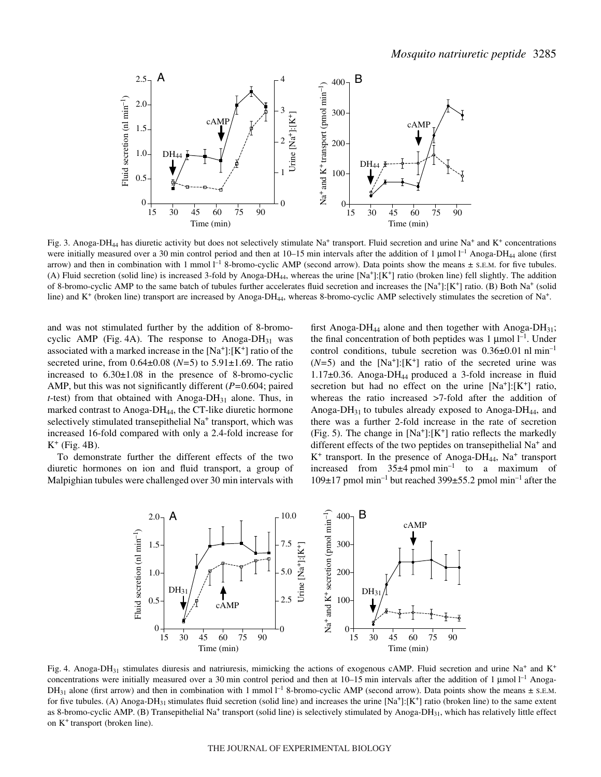

Fig. 3. Anoga-DH<sub>44</sub> has diuretic activity but does not selectively stimulate Na<sup>+</sup> transport. Fluid secretion and urine Na<sup>+</sup> and K<sup>+</sup> concentrations were initially measured over a 30 min control period and then at  $10-15$  min intervals after the addition of 1 µmol  $l^{-1}$  Anoga-DH<sub>44</sub> alone (first arrow) and then in combination with 1 mmol  $I^{-1}$  8-bromo-cyclic AMP (second arrow). Data points show the means  $\pm$  s.E.M. for five tubules. (A) Fluid secretion (solid line) is increased 3-fold by Anoga-DH<sub>44</sub>, whereas the urine  $[Na^+]$ :  $[K^+]$  ratio (broken line) fell slightly. The addition of 8-bromo-cyclic AMP to the same batch of tubules further accelerates fluid secretion and increases the  $[Na^+]: [K^+]$  ratio. (B) Both  $Na^+$  (solid line) and K<sup>+</sup> (broken line) transport are increased by Anoga-DH<sub>44</sub>, whereas 8-bromo-cyclic AMP selectively stimulates the secretion of Na<sup>+</sup>.

and was not stimulated further by the addition of 8-bromocyclic AMP (Fig. 4A). The response to Anoga-DH $_{31}$  was associated with a marked increase in the  $[Na^+]$ : $[K^+]$  ratio of the secreted urine, from 0.64±0.08 (*N=*5) to 5.91±1.69. The ratio increased to  $6.30\pm1.08$  in the presence of 8-bromo-cyclic AMP, but this was not significantly different (*P=*0.604; paired  $t$ -test) from that obtained with Anoga-DH<sub>31</sub> alone. Thus, in marked contrast to Anoga-DH<sub>44</sub>, the CT-like diuretic hormone selectively stimulated transepithelial Na<sup>+</sup> transport, which was increased 16-fold compared with only a 2.4-fold increase for  $K^+$  (Fig. 4B).

To demonstrate further the different effects of the two diuretic hormones on ion and fluid transport, a group of Malpighian tubules were challenged over 30 min intervals with first Anoga-DH<sub>44</sub> alone and then together with Anoga-DH<sub>31</sub>; the final concentration of both peptides was  $1 \mu$ mol  $l^{-1}$ . Under control conditions, tubule secretion was  $0.36\pm0.01$  nl min<sup>-1</sup>  $(N=5)$  and the  $[Na^+]: [K^+]$  ratio of the secreted urine was 1.17 $\pm$ 0.36. Anoga-DH<sub>44</sub> produced a 3-fold increase in fluid secretion but had no effect on the urine  $[Na^+]$ : $[K^+]$  ratio, whereas the ratio increased >7-fold after the addition of Anoga-DH $_{31}$  to tubules already exposed to Anoga-DH $_{44}$ , and there was a further 2-fold increase in the rate of secretion (Fig. 5). The change in  $[Na^+]:[K^+]$  ratio reflects the markedly different effects of the two peptides on transepithelial Na<sup>+</sup> and  $K^+$  transport. In the presence of Anoga-DH<sub>44</sub>, Na<sup>+</sup> transport increased from  $35\pm4$  pmol min<sup>-1</sup> to a maximum of  $109\pm17$  pmol min<sup>-1</sup> but reached 399 $\pm$ 55.2 pmol min<sup>-1</sup> after the



Fig. 4. Anoga-DH<sub>31</sub> stimulates diuresis and natriuresis, mimicking the actions of exogenous cAMP. Fluid secretion and urine Na<sup>+</sup> and K<sup>+</sup> concentrations were initially measured over a 30 min control period and then at 10–15 min intervals after the addition of 1 μmol<sup>-1</sup> Anoga-DH<sub>31</sub> alone (first arrow) and then in combination with 1 mmol  $l^{-1}$  8-bromo-cyclic AMP (second arrow). Data points show the means  $\pm$  s.E.M. for five tubules. (A) Anoga-DH<sub>31</sub> stimulates fluid secretion (solid line) and increases the urine  $[Na^+]: [K^+]$  ratio (broken line) to the same extent as 8-bromo-cyclic AMP. (B) Transepithelial Na<sup>+</sup> transport (solid line) is selectively stimulated by Anoga-DH<sub>31</sub>, which has relatively little effect on K+ transport (broken line).

#### THE JOURNAL OF EXPERIMENTAL BIOLOGY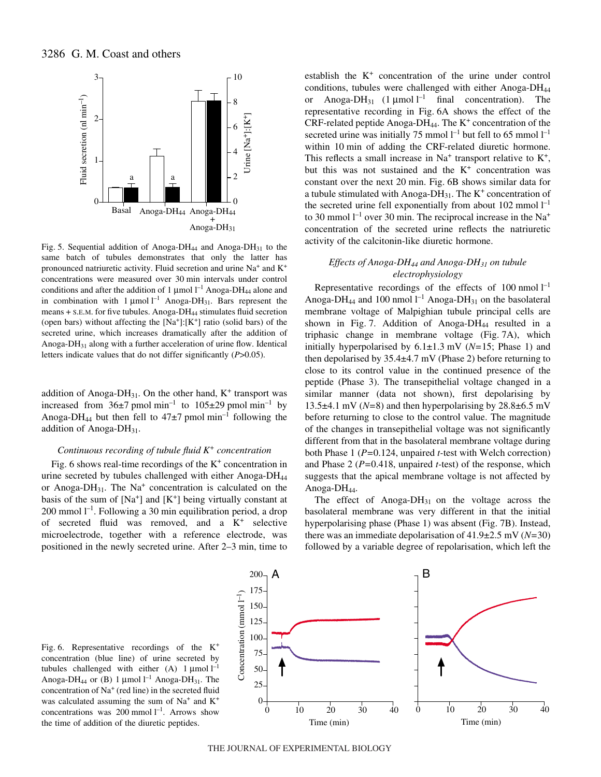

Fig. 5. Sequential addition of Anoga-DH<sub>44</sub> and Anoga-DH<sub>31</sub> to the same batch of tubules demonstrates that only the latter has pronounced natriuretic activity. Fluid secretion and urine  $Na<sup>+</sup>$  and  $K<sup>+</sup>$ concentrations were measured over 30 min intervals under control conditions and after the addition of 1  $\mu$ mol l<sup>-1</sup> Anoga-DH<sub>44</sub> alone and in combination with  $1 \mu$ mol<sup>-1</sup> Anoga-DH<sub>31</sub>. Bars represent the means + S.E.M. for five tubules. Anoga-DH44 stimulates fluid secretion (open bars) without affecting the  $[Na^+]$ :  $[K^+]$  ratio (solid bars) of the secreted urine, which increases dramatically after the addition of Anoga-DH31 along with a further acceleration of urine flow. Identical letters indicate values that do not differ significantly (*P*>0.05).

addition of Anoga-DH<sub>31</sub>. On the other hand,  $K^+$  transport was increased from  $36\pm7$  pmol min<sup>-1</sup> to  $105\pm29$  pmol min<sup>-1</sup> by Anoga-DH<sub>44</sub> but then fell to  $47\pm7$  pmol min<sup>-1</sup> following the addition of Anoga-D $H_{31}$ .

#### *Continuous recording of tubule fluid K<sup>+</sup> concentration*

Fig. 6 shows real-time recordings of the  $K^+$  concentration in urine secreted by tubules challenged with either Anoga-DH44 or Anoga-DH<sub>31</sub>. The Na<sup>+</sup> concentration is calculated on the basis of the sum of  $[Na^+]$  and  $[K^+]$  being virtually constant at 200 mmol  $l^{-1}$ . Following a 30 min equilibration period, a drop of secreted fluid was removed, and a  $K^+$  selective microelectrode, together with a reference electrode, was positioned in the newly secreted urine. After 2–3 min, time to

establish the K<sup>+</sup> concentration of the urine under control conditions, tubules were challenged with either Anoga-DH44 or Anoga-DH<sub>31</sub>  $(1 \mu \text{mol})^{-1}$  final concentration). The representative recording in Fig. 6A shows the effect of the CRF-related peptide Anoga-DH<sub>44</sub>. The  $K^+$  concentration of the secreted urine was initially 75 mmol  $l^{-1}$  but fell to 65 mmol  $l^{-1}$ within 10 min of adding the CRF-related diuretic hormone. This reflects a small increase in  $Na<sup>+</sup>$  transport relative to  $K<sup>+</sup>$ , but this was not sustained and the  $K^+$  concentration was constant over the next 20 min. Fig. 6B shows similar data for a tubule stimulated with Anoga-DH $_{31}$ . The K<sup>+</sup> concentration of the secreted urine fell exponentially from about  $102$  mmol  $l^{-1}$ to 30 mmol  $l^{-1}$  over 30 min. The reciprocal increase in the Na<sup>+</sup> concentration of the secreted urine reflects the natriuretic activity of the calcitonin-like diuretic hormone.

# *Effects of Anoga-DH44 and Anoga-DH31 on tubule electrophysiology*

Representative recordings of the effects of 100 nmol  $I^{-1}$ Anoga-DH<sub>44</sub> and 100 nmol  $l^{-1}$  Anoga-DH<sub>31</sub> on the basolateral membrane voltage of Malpighian tubule principal cells are shown in Fig. 7. Addition of Anoga-DH $_{44}$  resulted in a triphasic change in membrane voltage (Fig. 7A), which initially hyperpolarised by  $6.1 \pm 1.3$  mV ( $N=15$ ; Phase 1) and then depolarised by  $35.4\pm4.7$  mV (Phase 2) before returning to close to its control value in the continued presence of the peptide (Phase 3). The transepithelial voltage changed in a similar manner (data not shown), first depolarising by 13.5 $\pm$ 4.1 mV (*N*=8) and then hyperpolarising by 28.8 $\pm$ 6.5 mV before returning to close to the control value. The magnitude of the changes in transepithelial voltage was not significantly different from that in the basolateral membrane voltage during both Phase 1 (*P=*0.124, unpaired *t-*test with Welch correction) and Phase 2 (*P=*0.418, unpaired *t-*test) of the response, which suggests that the apical membrane voltage is not affected by Anoga-D $H_{44}$ .

The effect of Anoga-D $H_{31}$  on the voltage across the basolateral membrane was very different in that the initial hyperpolarising phase (Phase 1) was absent (Fig. 7B). Instead, there was an immediate depolarisation of 41.9±2.5·mV (*N=*30) followed by a variable degree of repolarisation, which left the

Fig. 6. Representative recordings of the  $K^+$ concentration (blue line) of urine secreted by tubules challenged with either (A)  $1 \mu$ mol  $l^{-1}$ Anoga-DH<sub>44</sub> or (B) 1  $\mu$ mol l<sup>-1</sup> Anoga-DH<sub>31</sub>. The concentration of Na+ (red line) in the secreted fluid was calculated assuming the sum of  $Na<sup>+</sup>$  and  $K<sup>+</sup>$ concentrations was 200 mmol  $l^{-1}$ . Arrows show the time of addition of the diuretic peptides.



THE JOURNAL OF EXPERIMENTAL BIOLOGY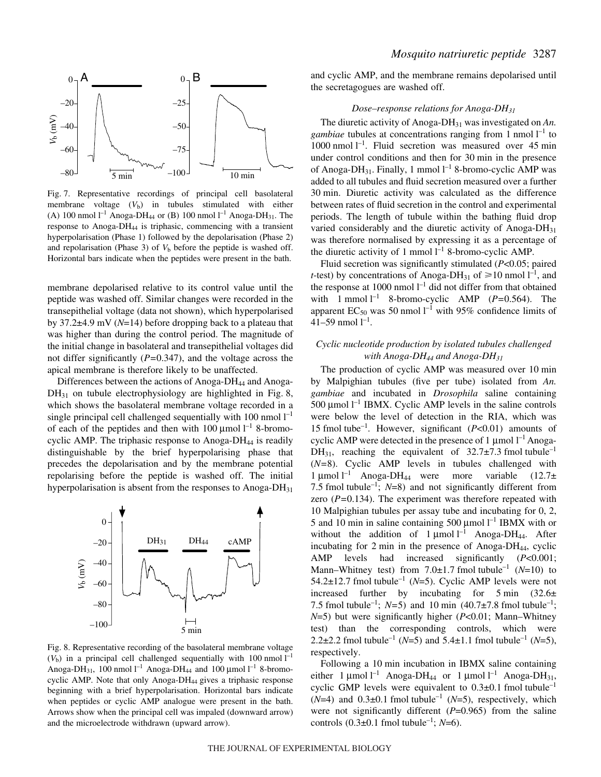

Fig. 7. Representative recordings of principal cell basolateral membrane voltage  $(V<sub>b</sub>)$  in tubules stimulated with either (A) 100 nmol  $l^{-1}$  Anoga-DH<sub>44</sub> or (B) 100 nmol  $l^{-1}$  Anoga-DH<sub>31</sub>. The response to Anoga-DH44 is triphasic, commencing with a transient hyperpolarisation (Phase 1) followed by the depolarisation (Phase 2) and repolarisation (Phase 3) of  $V<sub>b</sub>$  before the peptide is washed off. Horizontal bars indicate when the peptides were present in the bath.

membrane depolarised relative to its control value until the peptide was washed off. Similar changes were recorded in the transepithelial voltage (data not shown), which hyperpolarised by 37.2±4.9 mV (*N*=14) before dropping back to a plateau that was higher than during the control period. The magnitude of the initial change in basolateral and transepithelial voltages did not differ significantly (*P=*0.347), and the voltage across the apical membrane is therefore likely to be unaffected.

Differences between the actions of Anoga-DH44 and Anoga- $DH_{31}$  on tubule electrophysiology are highlighted in Fig. 8, which shows the basolateral membrane voltage recorded in a single principal cell challenged sequentially with  $100$  nmol  $l^{-1}$ of each of the peptides and then with  $100 \mu$ mol  $l^{-1}$  8-bromocyclic AMP. The triphasic response to Anoga-DH $_{44}$  is readily distinguishable by the brief hyperpolarising phase that precedes the depolarisation and by the membrane potential repolarising before the peptide is washed off. The initial hyperpolarisation is absent from the responses to Anoga-DH $_{31}$ 



Fig. 8. Representative recording of the basolateral membrane voltage  $(V<sub>b</sub>)$  in a principal cell challenged sequentially with 100 nmol  $l<sup>-1</sup>$ Anoga-DH<sub>31</sub>, 100 nmol  $l^{-1}$  Anoga-DH<sub>44</sub> and 100 µmol  $l^{-1}$  8-bromocyclic AMP. Note that only Anoga-DH<sub>44</sub> gives a triphasic response beginning with a brief hyperpolarisation. Horizontal bars indicate when peptides or cyclic AMP analogue were present in the bath. Arrows show when the principal cell was impaled (downward arrow) and the microelectrode withdrawn (upward arrow).

and cyclic AMP, and the membrane remains depolarised until the secretagogues are washed off.

### *Dose–response relations for Anoga-DH31*

The diuretic activity of Anoga-DH31 was investigated on *An. gambiae* tubules at concentrations ranging from 1 nmol  $l^{-1}$  to 1000 nmol  $l^{-1}$ . Fluid secretion was measured over 45 min under control conditions and then for 30 min in the presence of Anoga-DH<sub>31</sub>. Finally, 1 mmol  $l^{-1}$  8-bromo-cyclic AMP was added to all tubules and fluid secretion measured over a further 30 min. Diuretic activity was calculated as the difference between rates of fluid secretion in the control and experimental periods. The length of tubule within the bathing fluid drop varied considerably and the diuretic activity of Anoga-DH<sub>31</sub> was therefore normalised by expressing it as a percentage of the diuretic activity of 1 mmol  $l^{-1}$  8-bromo-cyclic AMP.

Fluid secretion was significantly stimulated (*P*<0.05; paired *t*-test) by concentrations of Anoga-DH<sub>31</sub> of  $\geq 10$  nmol  $l^{-1}$ , and the response at 1000 nmol  $l^{-1}$  did not differ from that obtained with 1 mmol  $l^{-1}$  8-bromo-cyclic AMP ( $P=0.564$ ). The apparent  $EC_{50}$  was 50 nmol  $l^{-1}$  with 95% confidence limits of 41–59 nmol  $l^{-1}$ .

# *Cyclic nucleotide production by isolated tubules challenged with Anoga-DH44 and Anoga-DH31*

The production of cyclic AMP was measured over 10 min by Malpighian tubules (five per tube) isolated from *An. gambiae* and incubated in *Drosophila* saline containing 500  $\mu$ mol l<sup>-1</sup> IBMX. Cyclic AMP levels in the saline controls were below the level of detection in the RIA, which was 15 fmol tube<sup>-1</sup>. However, significant  $(P<0.01)$  amounts of cyclic AMP were detected in the presence of 1  $\mu$ mol  $l^{-1}$  Anoga-DH<sub>31</sub>, reaching the equivalent of  $32.7\pm7.3$  fmol tubule<sup>-1</sup> (*N=*8). Cyclic AMP levels in tubules challenged with 1 µmol  $l^{-1}$  Anoga-DH<sub>44</sub> were more variable (12.7± 7.5 fmol tubule<sup>-1</sup>;  $N=8$ ) and not significantly different from zero (*P=*0.134). The experiment was therefore repeated with 10 Malpighian tubules per assay tube and incubating for 0, 2, 5 and 10 min in saline containing 500  $\mu$ mol l<sup>-1</sup> IBMX with or without the addition of  $1 \mu$ mol  $l^{-1}$  Anoga-DH<sub>44</sub>. After incubating for 2 min in the presence of Anoga-DH<sub>44</sub>, cyclic AMP levels had increased significantly (*P*<0.001; Mann–Whitney test) from  $7.0\pm1.7$  fmol tubule<sup>-1</sup> ( $N=10$ ) to 54.2 $\pm$ 12.7 fmol tubule<sup>-1</sup> (*N*=5). Cyclic AMP levels were not increased further by incubating for  $5 \text{ min}$  (32.6 $\pm$ 7.5 fmol tubule<sup>-1</sup>; *N*=5) and 10 min (40.7 $\pm$ 7.8 fmol tubule<sup>-1</sup>; *N*=5) but were significantly higher (*P*<0.01; Mann–Whitney test) than the corresponding controls, which were 2.2 $\pm$ 2.2 fmol tubule<sup>-1</sup> (*N*=5) and 5.4 $\pm$ 1.1 fmol tubule<sup>-1</sup> (*N*=5), respectively.

Following a 10 min incubation in IBMX saline containing either 1  $\mu$ mol l<sup>-1</sup> Anoga-DH<sub>44</sub> or 1  $\mu$ mol l<sup>-1</sup> Anoga-DH<sub>31</sub>, cyclic GMP levels were equivalent to  $0.3\pm0.1$  fmol tubule<sup>-1</sup>  $(N=4)$  and  $0.3\pm0.1$  fmol tubule<sup>-1</sup> (*N*=5), respectively, which were not significantly different (*P*=0.965) from the saline controls  $(0.3\pm0.1 \text{ fmol tubule}^{-1}; N=6)$ .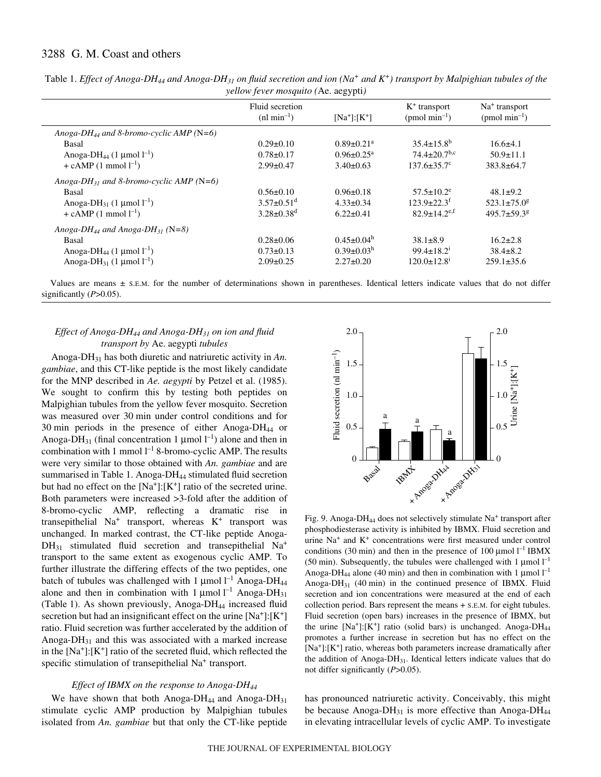# 3288 G. M. Coast and others

|                                                         | Fluid secretion              | $[Na^+]:[K^+]$               | $K^+$ transport<br>$(pmol \text{ min}^{-1})$ | $Na+ transport$<br>(pmol min <sup>-1</sup> ) |
|---------------------------------------------------------|------------------------------|------------------------------|----------------------------------------------|----------------------------------------------|
|                                                         | $(nl \text{ min}^{-1})$      |                              |                                              |                                              |
| Anoga-DH <sub>44</sub> and 8-bromo-cyclic AMP (N=6)     |                              |                              |                                              |                                              |
| Basal                                                   | $0.29 \pm 0.10$              | $0.89 \pm 0.21$ <sup>a</sup> | $35.4 \pm 15.8^b$                            | $16.6 \pm 4.1$                               |
| Anoga-DH <sub>44</sub> (1 µmol $l^{-1}$ )               | $0.78 \pm 0.17$              | $0.96 \pm 0.25$ <sup>a</sup> | $74.4 \pm 20.7$ <sup>b,c</sup>               | $50.9 \pm 11.1$                              |
| + cAMP $(1 \text{ mmol } l^{-1})$                       | $2.99 \pm 0.47$              | $3.40 \pm 0.63$              | $137.6 \pm 35.7$ <sup>c</sup>                | $383.8 \pm 64.7$                             |
| Anoga-DH <sub>31</sub> and 8-bromo-cyclic AMP (N=6)     |                              |                              |                                              |                                              |
| Basal                                                   | $0.56 \pm 0.10$              | $0.96 \pm 0.18$              | $57.5 \pm 10.2^e$                            | $48.1 \pm 9.2$                               |
| Anoga-DH <sub>31</sub> (1 µmol $l^{-1}$ )               | $3.57 \pm 0.51$ <sup>d</sup> | $4.33 \pm 0.34$              | $123.9 \pm 22.3$ <sup>f</sup>                | $523.1 \pm 75.0$ <sup>g</sup>                |
| + cAMP $(1 \text{ mmol } 1^{-1})$                       | $3.28 \pm 0.38$ <sup>d</sup> | $6.22 \pm 0.41$              | $82.9 \pm 14.2$ <sup>e,f</sup>               | $495.7 \pm 59.3$ <sup>g</sup>                |
| Anoga-DH <sub>44</sub> and Anoga-DH <sub>31</sub> (N=8) |                              |                              |                                              |                                              |
| Basal                                                   | $0.28 \pm 0.06$              | $0.45 \pm 0.04^{\text{h}}$   | $38.1 \pm 8.9$                               | $16.2 \pm 2.8$                               |
| Anoga-DH <sub>44</sub> (1 µmol $l^{-1}$ )               | $0.73 \pm 0.13$              | $0.39 \pm 0.03^h$            | $99.4 \pm 18.2$ <sup>1</sup>                 | $38.4 \pm 8.2$                               |
| Anoga-DH <sub>31</sub> (1 µmol $l^{-1}$ )               | $2.09 \pm 0.25$              | $2.27 \pm 0.20$              | $120.0 \pm 12.8$ <sup>1</sup>                | $259.1 \pm 35.6$                             |

Table 1. *Effect of Anoga-DH44 and Anoga-DH31 on fluid secretion and ion (Na<sup>+</sup> and K+) transport by Malpighian tubules of the yellow fever mosquito (*Ae. aegypti*)*

Values are means  $\pm$  s.E.M. for the number of determinations shown in parentheses. Identical letters indicate values that do not differ significantly (*P*>0.05).

# *Effect of Anoga-DH44 and Anoga-DH31 on ion and fluid transport by* Ae. aegypti *tubules*

Anoga-DH31 has both diuretic and natriuretic activity in *An. gambiae*, and this CT-like peptide is the most likely candidate for the MNP described in *Ae. aegypti* by Petzel et al. (1985). We sought to confirm this by testing both peptides on Malpighian tubules from the yellow fever mosquito. Secretion was measured over 30 min under control conditions and for 30 min periods in the presence of either Anoga-DH<sub>44</sub> or Anoga-DH<sub>31</sub> (final concentration 1  $\mu$ mol l<sup>-1</sup>) alone and then in combination with 1 mmol  $l^{-1}$  8-bromo-cyclic AMP. The results were very similar to those obtained with *An. gambiae* and are summarised in Table 1. Anoga-DH<sub>44</sub> stimulated fluid secretion but had no effect on the  $[Na^+]$ :  $[K^+]$  ratio of the secreted urine. Both parameters were increased >3-fold after the addition of 8-bromo-cyclic AMP, reflecting a dramatic rise in transepithelial  $Na<sup>+</sup>$  transport, whereas  $K<sup>+</sup>$  transport was unchanged. In marked contrast, the CT-like peptide Anoga- $DH_{31}$  stimulated fluid secretion and transepithelial  $Na^{+}$ transport to the same extent as exogenous cyclic AMP. To further illustrate the differing effects of the two peptides, one batch of tubules was challenged with 1  $\mu$ mol l<sup>-1</sup> Anoga-DH<sub>44</sub> alone and then in combination with  $1 \mu$ mol  $l^{-1}$  Anoga-DH<sub>31</sub> (Table 1). As shown previously, Anoga-DH<sub>44</sub> increased fluid secretion but had an insignificant effect on the urine  $[Na^+]$ :  $[K^+]$ ratio. Fluid secretion was further accelerated by the addition of Anoga-D $H_{31}$  and this was associated with a marked increase in the  $[Na^+]$ :  $[K^+]$  ratio of the secreted fluid, which reflected the specific stimulation of transepithelial Na<sup>+</sup> transport.

# *Effect of IBMX on the response to Anoga-DH44*

We have shown that both Anoga-DH<sub>44</sub> and Anoga-DH<sub>31</sub> stimulate cyclic AMP production by Malpighian tubules isolated from *An. gambiae* but that only the CT-like peptide



Fig. 9. Anoga-DH<sub>44</sub> does not selectively stimulate Na<sup>+</sup> transport after phosphodiesterase activity is inhibited by IBMX. Fluid secretion and urine Na+ and K<sup>+</sup> concentrations were first measured under control conditions (30 min) and then in the presence of 100  $\mu$ mol l<sup>-1</sup> IBMX (50 min). Subsequently, the tubules were challenged with 1  $\mu$ mol l<sup>-1</sup> Anoga-DH<sub>44</sub> alone (40 min) and then in combination with 1  $\mu$ mol l<sup>-1</sup> Anoga-DH $_{31}$  (40 min) in the continued presence of IBMX. Fluid secretion and ion concentrations were measured at the end of each collection period. Bars represent the means + S.E.M. for eight tubules. Fluid secretion (open bars) increases in the presence of IBMX, but the urine  $[Na^+]$ :  $[K^+]$  ratio (solid bars) is unchanged. Anoga-DH<sub>44</sub> promotes a further increase in secretion but has no effect on the  $[Na^+]$ : $[K^+]$  ratio, whereas both parameters increase dramatically after the addition of Anoga-DH $_{31}$ . Identical letters indicate values that do not differ significantly (*P*>0.05).

has pronounced natriuretic activity. Conceivably, this might be because Anoga-DH $_{31}$  is more effective than Anoga-DH $_{44}$ in elevating intracellular levels of cyclic AMP. To investigate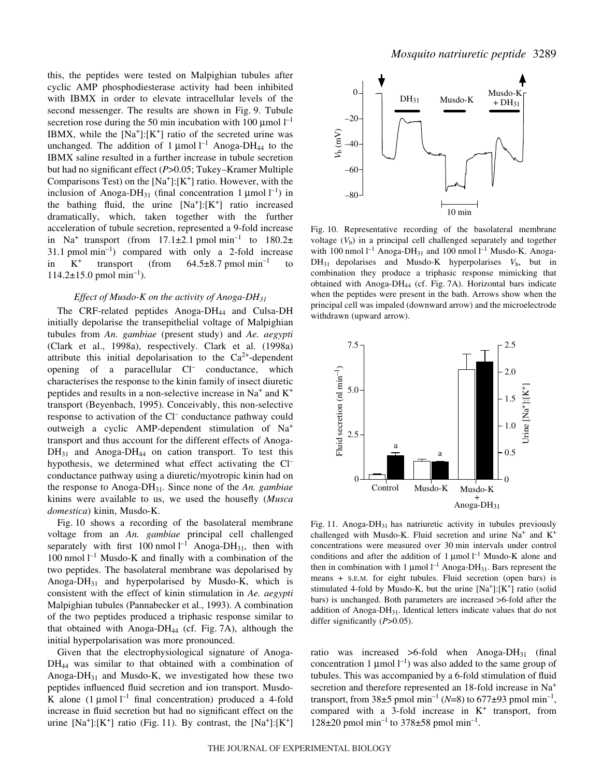this, the peptides were tested on Malpighian tubules after cyclic AMP phosphodiesterase activity had been inhibited with IBMX in order to elevate intracellular levels of the second messenger. The results are shown in Fig. 9. Tubule secretion rose during the 50 min incubation with 100  $\mu$ mol  $I^{-1}$ IBMX, while the  $[Na^+]$ :  $[K^+]$  ratio of the secreted urine was unchanged. The addition of  $1 \mu$ mol  $l^{-1}$  Anoga-DH<sub>44</sub> to the IBMX saline resulted in a further increase in tubule secretion but had no significant effect (*P*>0.05; Tukey–Kramer Multiple Comparisons Test) on the  $[Na^+]$ :  $[K^+]$  ratio. However, with the inclusion of Anoga-DH<sub>31</sub> (final concentration 1  $\mu$ mol l<sup>-1</sup>) in the bathing fluid, the urine  $[Na^+]:[K^+]$  ratio increased dramatically, which, taken together with the further acceleration of tubule secretion, represented a 9-fold increase in Na<sup>+</sup> transport (from 17.1 $\pm$ 2.1 pmol min<sup>-1</sup> to 180.2 $\pm$ 31.1 pmol  $min^{-1}$ ) compared with only a 2-fold increase in  $K^+$  transport (from 64.5 $\pm$ 8.7 pmol min<sup>-1</sup> to  $114.2 \pm 15.0$  pmol min<sup>-1</sup>).

#### *Effect of Musdo-K on the activity of Anoga-DH31*

The CRF-related peptides Anoga-DH<sub>44</sub> and Culsa-DH initially depolarise the transepithelial voltage of Malpighian tubules from *An. gambiae* (present study) and *Ae. aegypti* (Clark et al., 1998a), respectively. Clark et al. (1998a) attribute this initial depolarisation to the  $Ca^{2+}$ -dependent opening of a paracellular Cl– conductance, which characterises the response to the kinin family of insect diuretic peptides and results in a non-selective increase in  $Na<sup>+</sup>$  and  $K<sup>+</sup>$ transport (Beyenbach, 1995). Conceivably, this non-selective response to activation of the Cl– conductance pathway could outweigh a cyclic AMP-dependent stimulation of Na<sup>+</sup> transport and thus account for the different effects of Anoga- $DH_{31}$  and Anoga-DH<sub>44</sub> on cation transport. To test this hypothesis, we determined what effect activating the Cl<sup>-</sup> conductance pathway using a diuretic/myotropic kinin had on the response to Anoga-DH31. Since none of the *An. gambiae* kinins were available to us, we used the housefly (*Musca domestica*) kinin, Musdo-K.

Fig. 10 shows a recording of the basolateral membrane voltage from an *An. gambiae* principal cell challenged separately with first 100 nmol  $l^{-1}$  Anoga-DH<sub>31</sub>, then with 100 nmol  $l^{-1}$  Musdo-K and finally with a combination of the two peptides. The basolateral membrane was depolarised by Anoga-DH $_{31}$  and hyperpolarised by Musdo-K, which is consistent with the effect of kinin stimulation in *Ae. aegypti* Malpighian tubules (Pannabecker et al., 1993). A combination of the two peptides produced a triphasic response similar to that obtained with Anoga-D $H_{44}$  (cf. Fig. 7A), although the initial hyperpolarisation was more pronounced.

Given that the electrophysiological signature of Anoga-DH44 was similar to that obtained with a combination of Anoga- $DH_{31}$  and Musdo-K, we investigated how these two peptides influenced fluid secretion and ion transport. Musdo-K alone  $(1 \mu \text{mol})^{-1}$  final concentration) produced a 4-fold increase in fluid secretion but had no significant effect on the urine  $[Na^+]$ :[K<sup>+</sup>] ratio (Fig. 11). By contrast, the  $[Na^+]$ :[K<sup>+</sup>]



Fig. 10. Representative recording of the basolateral membrane voltage  $(V<sub>b</sub>)$  in a principal cell challenged separately and together with 100 nmol  $l^{-1}$  Anoga-DH<sub>31</sub> and 100 nmol  $l^{-1}$  Musdo-K. Anoga- $DH_{31}$  depolarises and Musdo-K hyperpolarises  $V_b$ , but in combination they produce a triphasic response mimicking that obtained with Anoga-DH<sub>44</sub> (cf. Fig. 7A). Horizontal bars indicate when the peptides were present in the bath. Arrows show when the principal cell was impaled (downward arrow) and the microelectrode withdrawn (upward arrow).



Fig. 11. Anoga-DH<sub>31</sub> has natriuretic activity in tubules previously challenged with Musdo-K. Fluid secretion and urine  $Na<sup>+</sup>$  and  $K<sup>+</sup>$ concentrations were measured over 30 min intervals under control conditions and after the addition of  $1 \mu$ mol  $l^{-1}$  Musdo-K alone and then in combination with 1  $\mu$ mol l<sup>-1</sup> Anoga-DH<sub>31</sub>. Bars represent the means + S.E.M. for eight tubules. Fluid secretion (open bars) is stimulated 4-fold by Musdo-K, but the urine  $[Na^+]$ : $[K^+]$  ratio (solid bars) is unchanged. Both parameters are increased >6-fold after the addition of Anoga-DH31. Identical letters indicate values that do not differ significantly (*P*>0.05).

ratio was increased  $>6$ -fold when Anoga-DH<sub>31</sub> (final concentration 1  $\mu$ mol  $l^{-1}$ ) was also added to the same group of tubules. This was accompanied by a 6-fold stimulation of fluid secretion and therefore represented an 18-fold increase in Na<sup>+</sup> transport, from  $38\pm5$  pmol min<sup>-1</sup> (*N*=8) to 677 $\pm$ 93 pmol min<sup>-1</sup>, compared with a 3-fold increase in  $K^+$  transport, from  $128\pm20$  pmol min<sup>-1</sup> to 378 $\pm$ 58 pmol min<sup>-1</sup>.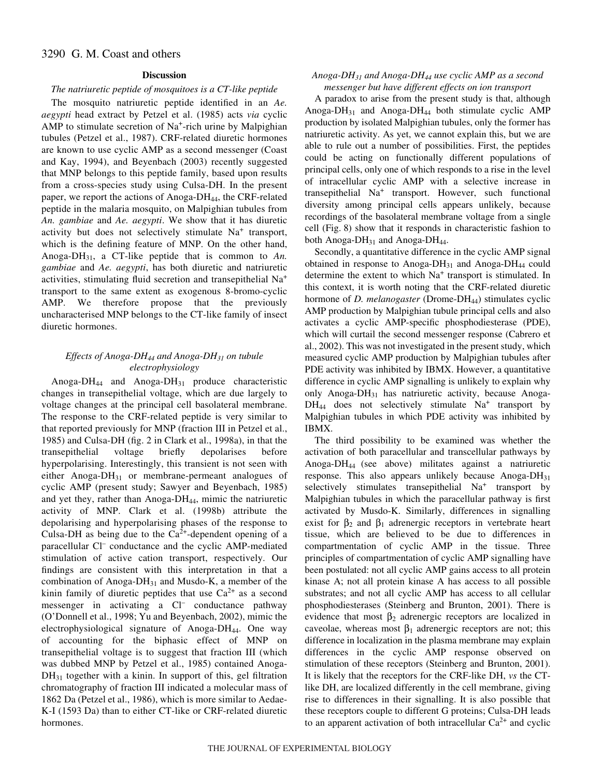# 3290 G. M. Coast and others

# **Discussion**

# *The natriuretic peptide of mosquitoes is a CT-like peptide*

The mosquito natriuretic peptide identified in an *Ae. aegypti* head extract by Petzel et al. (1985) acts *via* cyclic AMP to stimulate secretion of Na<sup>+</sup>-rich urine by Malpighian tubules (Petzel et al., 1987). CRF-related diuretic hormones are known to use cyclic AMP as a second messenger (Coast and Kay, 1994), and Beyenbach (2003) recently suggested that MNP belongs to this peptide family, based upon results from a cross-species study using Culsa-DH. In the present paper, we report the actions of Anoga-DH44, the CRF-related peptide in the malaria mosquito, on Malpighian tubules from *An. gambiae* and *Ae. aegypti*. We show that it has diuretic activity but does not selectively stimulate Na<sup>+</sup> transport, which is the defining feature of MNP. On the other hand, Anoga-DH31, a CT-like peptide that is common to *An. gambiae* and *Ae. aegypti*, has both diuretic and natriuretic activities, stimulating fluid secretion and transepithelial Na<sup>+</sup> transport to the same extent as exogenous 8-bromo-cyclic AMP. We therefore propose that the previously uncharacterised MNP belongs to the CT-like family of insect diuretic hormones.

# *Effects of Anoga-DH44 and Anoga-DH31 on tubule electrophysiology*

Anoga-DH<sub>44</sub> and Anoga-DH<sub>31</sub> produce characteristic changes in transepithelial voltage, which are due largely to voltage changes at the principal cell basolateral membrane. The response to the CRF-related peptide is very similar to that reported previously for MNP (fraction III in Petzel et al., 1985) and Culsa-DH (fig. 2 in Clark et al., 1998a), in that the transepithelial voltage briefly depolarises before hyperpolarising. Interestingly, this transient is not seen with either Anoga-DH<sub>31</sub> or membrane-permeant analogues of cyclic AMP (present study; Sawyer and Beyenbach, 1985) and yet they, rather than Anoga-DH<sub>44</sub>, mimic the natriuretic activity of MNP. Clark et al. (1998b) attribute the depolarising and hyperpolarising phases of the response to Culsa-DH as being due to the  $Ca<sup>2+</sup>$ -dependent opening of a paracellular Cl– conductance and the cyclic AMP-mediated stimulation of active cation transport, respectively. Our findings are consistent with this interpretation in that a combination of Anoga- $DH_{31}$  and Musdo-K, a member of the kinin family of diuretic peptides that use  $Ca^{2+}$  as a second messenger in activating a Cl<sup>-</sup> conductance pathway (O'Donnell et al., 1998; Yu and Beyenbach, 2002), mimic the electrophysiological signature of Anoga-DH $_{44}$ . One way of accounting for the biphasic effect of MNP on transepithelial voltage is to suggest that fraction III (which was dubbed MNP by Petzel et al., 1985) contained Anoga- $DH_{31}$  together with a kinin. In support of this, gel filtration chromatography of fraction III indicated a molecular mass of 1862 Da (Petzel et al., 1986), which is more similar to Aedae-K-I (1593 Da) than to either CT-like or CRF-related diuretic hormones.

# *Anoga-DH31 and Anoga-DH44 use cyclic AMP as a second messenger but have different effects on ion transport*

A paradox to arise from the present study is that, although Anoga-DH<sub>31</sub> and Anoga-DH<sub>44</sub> both stimulate cyclic AMP production by isolated Malpighian tubules, only the former has natriuretic activity. As yet, we cannot explain this, but we are able to rule out a number of possibilities. First, the peptides could be acting on functionally different populations of principal cells, only one of which responds to a rise in the level of intracellular cyclic AMP with a selective increase in transepithelial Na+ transport. However, such functional diversity among principal cells appears unlikely, because recordings of the basolateral membrane voltage from a single cell (Fig. 8) show that it responds in characteristic fashion to both Anoga-D $H_{31}$  and Anoga-D $H_{44}$ .

Secondly, a quantitative difference in the cyclic AMP signal obtained in response to Anoga-DH $_{31}$  and Anoga-DH $_{44}$  could determine the extent to which Na<sup>+</sup> transport is stimulated. In this context, it is worth noting that the CRF-related diuretic hormone of *D. melanogaster* (Drome-DH<sub>44</sub>) stimulates cyclic AMP production by Malpighian tubule principal cells and also activates a cyclic AMP-specific phosphodiesterase (PDE), which will curtail the second messenger response (Cabrero et al., 2002). This was not investigated in the present study, which measured cyclic AMP production by Malpighian tubules after PDE activity was inhibited by IBMX. However, a quantitative difference in cyclic AMP signalling is unlikely to explain why only Anoga-DH<sub>31</sub> has natriuretic activity, because Anoga- $DH_{44}$  does not selectively stimulate  $Na^{+}$  transport by Malpighian tubules in which PDE activity was inhibited by IBMX.

The third possibility to be examined was whether the activation of both paracellular and transcellular pathways by Anoga-DH44 (see above) militates against a natriuretic response. This also appears unlikely because Anoga-DH $_{31}$ selectively stimulates transepithelial Na<sup>+</sup> transport by Malpighian tubules in which the paracellular pathway is first activated by Musdo-K. Similarly, differences in signalling exist for  $\beta_2$  and  $\beta_1$  adrenergic receptors in vertebrate heart tissue, which are believed to be due to differences in compartmentation of cyclic AMP in the tissue. Three principles of compartmentation of cyclic AMP signalling have been postulated: not all cyclic AMP gains access to all protein kinase A; not all protein kinase A has access to all possible substrates; and not all cyclic AMP has access to all cellular phosphodiesterases (Steinberg and Brunton, 2001). There is evidence that most  $\beta_2$  adrenergic receptors are localized in caveolae, whereas most  $\beta_1$  adrenergic receptors are not; this difference in localization in the plasma membrane may explain differences in the cyclic AMP response observed on stimulation of these receptors (Steinberg and Brunton, 2001). It is likely that the receptors for the CRF-like DH, *vs* the CTlike DH, are localized differently in the cell membrane, giving rise to differences in their signalling. It is also possible that these receptors couple to different G proteins; Culsa-DH leads to an apparent activation of both intracellular  $Ca^{2+}$  and cyclic